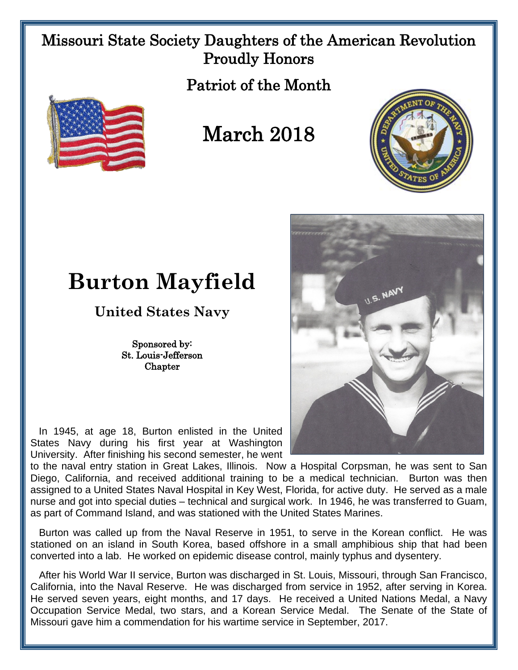## Missouri State Society Daughters of the American Revolution Proudly Honors

Patriot of the Month



## March 2018





## **Burton Mayfield**

**United States Navy**

Sponsored by: St. Louis-Jefferson **Chapter** 

 In 1945, at age 18, Burton enlisted in the United States Navy during his first year at Washington University. After finishing his second semester, he went

to the naval entry station in Great Lakes, Illinois. Now a Hospital Corpsman, he was sent to San Diego, California, and received additional training to be a medical technician. Burton was then assigned to a United States Naval Hospital in Key West, Florida, for active duty. He served as a male nurse and got into special duties – technical and surgical work. In 1946, he was transferred to Guam, as part of Command Island, and was stationed with the United States Marines.

 Burton was called up from the Naval Reserve in 1951, to serve in the Korean conflict. He was stationed on an island in South Korea, based offshore in a small amphibious ship that had been converted into a lab. He worked on epidemic disease control, mainly typhus and dysentery.

 After his World War II service, Burton was discharged in St. Louis, Missouri, through San Francisco, California, into the Naval Reserve. He was discharged from service in 1952, after serving in Korea. He served seven years, eight months, and 17 days. He received a United Nations Medal, a Navy Occupation Service Medal, two stars, and a Korean Service Medal. The Senate of the State of Missouri gave him a commendation for his wartime service in September, 2017.